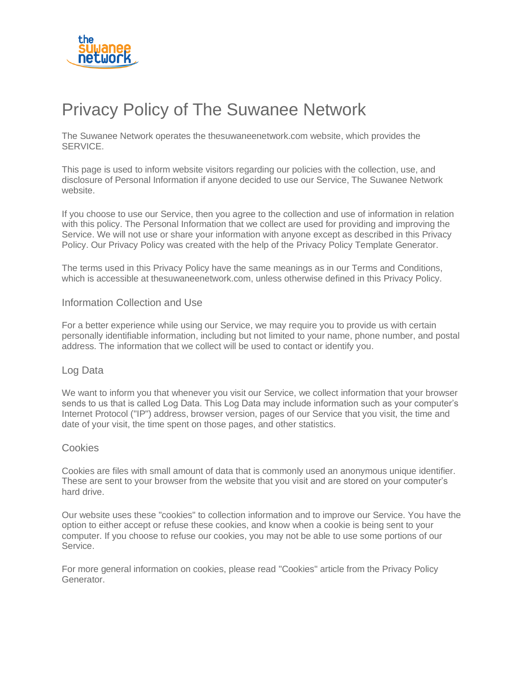

# Privacy Policy of The Suwanee Network

The Suwanee Network operates the thesuwaneenetwork.com website, which provides the SERVICE.

This page is used to inform website visitors regarding our policies with the collection, use, and disclosure of Personal Information if anyone decided to use our Service, The Suwanee Network website.

If you choose to use our Service, then you agree to the collection and use of information in relation with this policy. The Personal Information that we collect are used for providing and improving the Service. We will not use or share your information with anyone except as described in this Privacy Policy. Our Privacy Policy was created with the help of the [Privacy Policy Template Generator.](https://www.privacypolicytemplate.net/)

The terms used in this Privacy Policy have the same meanings as in our Terms and Conditions, which is accessible at thesuwaneenetwork.com, unless otherwise defined in this Privacy Policy.

## Information Collection and Use

For a better experience while using our Service, we may require you to provide us with certain personally identifiable information, including but not limited to your name, phone number, and postal address. The information that we collect will be used to contact or identify you.

# Log Data

We want to inform you that whenever you visit our Service, we collect information that your browser sends to us that is called Log Data. This Log Data may include information such as your computer's Internet Protocol ("IP") address, browser version, pages of our Service that you visit, the time and date of your visit, the time spent on those pages, and other statistics.

#### Cookies

Cookies are files with small amount of data that is commonly used an anonymous unique identifier. These are sent to your browser from the website that you visit and are stored on your computer's hard drive.

Our website uses these "cookies" to collection information and to improve our Service. You have the option to either accept or refuse these cookies, and know when a cookie is being sent to your computer. If you choose to refuse our cookies, you may not be able to use some portions of our Service.

For more general information on cookies, please read ["Cookies" article from the Privacy Policy](https://www.generateprivacypolicy.com/#cookies)  [Generator.](https://www.generateprivacypolicy.com/#cookies)